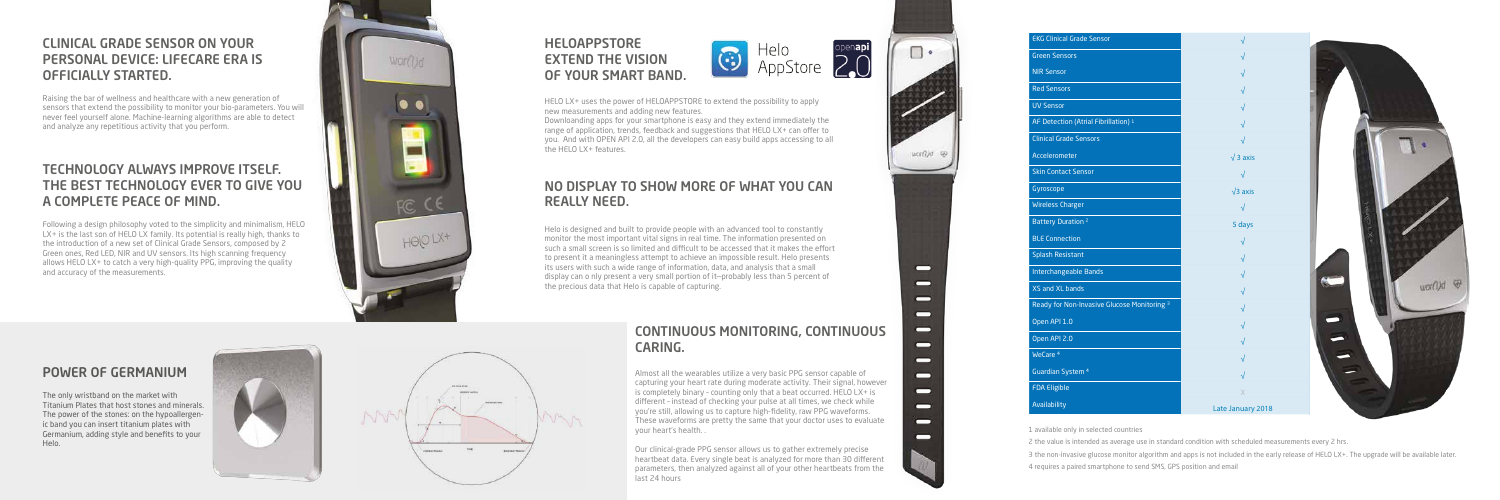### CLINICAL GRADE SENSOR ON YOUR PERSONAL DEVICE: LIFECARE ERA IS OFFICIALLY STARTED.

Raising the bar of wellness and healthcare with a new generation of sensors that extend the possibility to monitor your bio-parameters. You will never feel yourself alone. Machine-learning algorithms are able to detect and analyze any repetitious activity that you perform.

#### TECHNOLOGY ALWAYS IMPROVE ITSELF. THE BEST TECHNOLOGY EVER TO GIVE YOU A COMPLETE PEACE OF MIND.

Following a design philosophy voted to the simplicity and minimalism, HELO LX+ is the last son of HELO LX family. Its potential is really high, thanks to the introduction of a new set of Clinical Grade Sensors, composed by 2 Green ones, Red LED, NIR and UV sensors. Its high scanning frequency allows HELO LX+ to catch a very high-quality PPG, improving the quality and accuracy of the measurements.



#### POWER OF GERMANIUM

The only wristband on the market with Titanium Plates that host stones and minerals. The power of the stones: on the hypoallergen ic band you can insert titanium plates with Germanium, adding style and benefits to your Helo.







— —  $\blacksquare$ — 0 — —  $\blacksquare$ 0 0

0 —

#### HELOAPPSTORE EXTEND THE VISION OF YOUR SMART BAND.



HELO LX+ uses the power of HELOAPPSTORE to extend the possibility to apply new measurements and adding new features.

Downloanding apps for your smartphone is easy and they extend immediately the range of application, trends, feedback and suggestions that HELO LX+ can offer to you. And with OPEN API 2.0, all the developers can easy build apps accessing to all the HELO LX+ features.

#### CONTINUOUS MONITORING, CONTINUOUS CARING.

Almost all the wearables utilize a very basic PPG sensor capable of capturing your heart rate during moderate activity. Their signal, however is completely binary – counting only that a beat occurred. HELO LX+ is different - instead of checking your pulse at all times, we check while you're still, allowing us to capture high-fidelity, raw PPG waveforms. These waveforms are pretty the same that your doctor uses to evaluate your heart's health. .

Our clinical-grade PPG sensor allows us to gather extremely precise heartbeat data. Every single beat is analyzed for more than 30 different parameters, then analyzed against all of your other heartbeats from the last 24 hours

#### NO DISPLAY TO SHOW MORE OF WHAT YOU CAN REALLY NEED.

Helo is designed and built to provide people with an advanced tool to constantly monitor the most important vital signs in real time. The information presented on such a small screen is so limited and difficult to be accessed that it makes the effort to present it a meaningless attempt to achieve an impossible result. Helo presents its users with such a wide range of information, data, and analysis that a small display can o nly present a very small portion of it—probably less than 5 percent of the precious data that Helo is capable of capturing.

3 the non-invasive glucose monitor algorithm and apps is not included in the early release of HELO LX+. The upgrade will be available later.

| <b>EKG Clinical Grade Sensor</b>                                                                                                                                                                                                                                                                                                    |                   |  |
|-------------------------------------------------------------------------------------------------------------------------------------------------------------------------------------------------------------------------------------------------------------------------------------------------------------------------------------|-------------------|--|
| <b>Green Sensors</b>                                                                                                                                                                                                                                                                                                                |                   |  |
| <b>NIR Sensor</b>                                                                                                                                                                                                                                                                                                                   | $\sqrt{}$         |  |
| <b>Red Sensors</b>                                                                                                                                                                                                                                                                                                                  | $\sqrt{}$         |  |
| <b>UV Sensor</b>                                                                                                                                                                                                                                                                                                                    | $\sqrt{}$         |  |
| AF Detection (Atrial Fibrillation) 1                                                                                                                                                                                                                                                                                                | $\sqrt{}$         |  |
| <b>Clinical Grade Sensors</b>                                                                                                                                                                                                                                                                                                       | $\sqrt{}$         |  |
| Accelerometer                                                                                                                                                                                                                                                                                                                       | $\sqrt{3}$ axis   |  |
| <b>Skin Contact Sensor</b>                                                                                                                                                                                                                                                                                                          | $\sqrt{}$         |  |
| Gyroscope                                                                                                                                                                                                                                                                                                                           | $\sqrt{3}$ axis   |  |
| <b>Wireless Charger</b>                                                                                                                                                                                                                                                                                                             | $\sqrt{}$         |  |
| <b>Battery Duration 2</b>                                                                                                                                                                                                                                                                                                           | 5 days            |  |
| <b>BLE Connection</b>                                                                                                                                                                                                                                                                                                               | $\sqrt{ }$        |  |
| <b>Splash Resistant</b>                                                                                                                                                                                                                                                                                                             | $\sqrt{}$         |  |
| Interchangeable Bands                                                                                                                                                                                                                                                                                                               | $\sqrt{}$         |  |
| XS and XL bands                                                                                                                                                                                                                                                                                                                     | $\sqrt{}$         |  |
| Ready for Non-Invasive Glucose Monitoring <sup>3</sup>                                                                                                                                                                                                                                                                              |                   |  |
| Open API 1.0                                                                                                                                                                                                                                                                                                                        |                   |  |
| Open API 2.0                                                                                                                                                                                                                                                                                                                        | √                 |  |
| WeCare <sup>4</sup>                                                                                                                                                                                                                                                                                                                 | √                 |  |
| Guardian System <sup>4</sup>                                                                                                                                                                                                                                                                                                        | $\sqrt{}$         |  |
| <b>FDA Eligible</b>                                                                                                                                                                                                                                                                                                                 | X                 |  |
| Availability                                                                                                                                                                                                                                                                                                                        | Late January 2018 |  |
| 1 available only in selected countries<br>2 the value is intended as average use in standard condition with scheduled measurements every 2 hrs.<br>3 the non-invasive glucose monitor algorithm and apps is not included in the early release of HELO LX+. Th<br>4 requires a paired smartphone to send SMS, GPS position and email |                   |  |